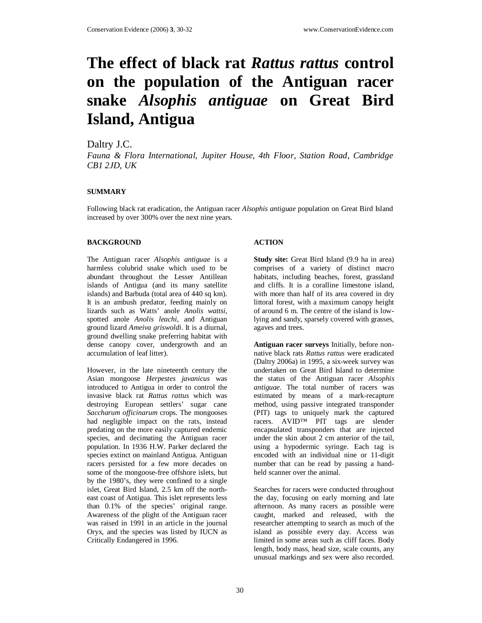# **The effect of black rat** *Rattus rattus* **control on the population of the Antiguan racer snake** *Alsophis antiguae* **on Great Bird Island, Antigua**

## Daltry J.C.

*Fauna & Flora International, Jupiter House, 4th Floor, Station Road, Cambridge CB1 2JD, UK*

### **SUMMARY**

Following black rat eradication, the Antiguan racer *Alsophis antiguae* population on Great Bird Island increased by over 300% over the next nine years.

### **BACKGROUND**

The Antiguan racer *Alsophis antiguae* is a harmless colubrid snake which used to be abundant throughout the Lesser Antillean islands of Antigua (and its many satellite islands) and Barbuda (total area of 440 sq km). It is an ambush predator, feeding mainly on lizards such as Watts' anole *Anolis wattsi*, spotted anole *Anolis leachi*, and Antiguan ground lizard *Ameiva griswoldi*. It is a diurnal, ground dwelling snake preferring habitat with dense canopy cover, undergrowth and an accumulation of leaf litter).

However, in the late nineteenth century the Asian mongoose *Herpestes javanicus* was introduced to Antigua in order to control the invasive black rat *Rattus rattus* which was destroying European settlers' sugar cane *Saccharum officinarum* crops. The mongooses had negligible impact on the rats, instead predating on the more easily captured endemic species, and decimating the Antiguan racer population. In 1936 H.W. Parker declared the species extinct on mainland Antigua. Antiguan racers persisted for a few more decades on some of the mongoose-free offshore islets, but by the 1980's, they were confined to a single islet, Great Bird Island, 2.5 km off the northeast coast of Antigua. This islet represents less than 0.1% of the species' original range. Awareness of the plight of the Antiguan racer was raised in 1991 in an article in the journal Oryx, and the species was listed by IUCN as Critically Endangered in 1996.

### **ACTION**

**Study site:** Great Bird Island (9.9 ha in area) comprises of a variety of distinct macro habitats, including beaches, forest, grassland and cliffs. It is a coralline limestone island, with more than half of its area covered in dry littoral forest, with a maximum canopy height of around 6 m. The centre of the island is lowlying and sandy, sparsely covered with grasses, agaves and trees.

**Antiguan racer surveys** Initially, before nonnative black rats *Rattus rattus* were eradicated (Daltry 2006a) in 1995, a six-week survey was undertaken on Great Bird Island to determine the status of the Antiguan racer *Alsophis antiguae*. The total number of racers was estimated by means of a mark-recapture method, using passive integrated transponder (PIT) tags to uniquely mark the captured racers. AVID™ PIT tags are slender encapsulated transponders that are injected under the skin about 2 cm anterior of the tail, using a hypodermic syringe. Each tag is encoded with an individual nine or 11-digit number that can be read by passing a handheld scanner over the animal.

Searches for racers were conducted throughout the day, focusing on early morning and late afternoon. As many racers as possible were caught, marked and released, with the researcher attempting to search as much of the island as possible every day. Access was limited in some areas such as cliff faces. Body length, body mass, head size, scale counts, any unusual markings and sex were also recorded.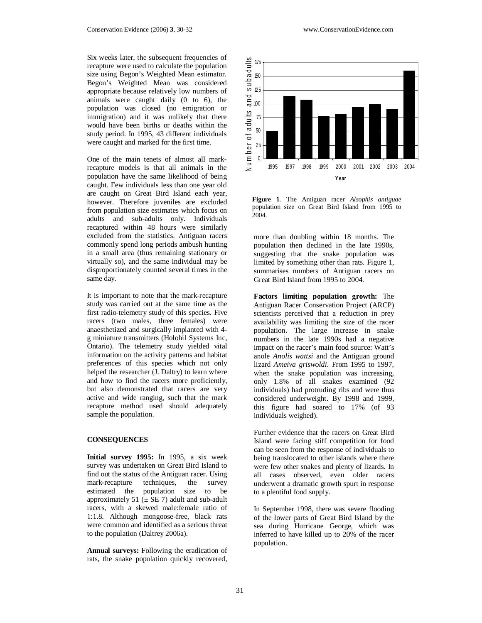Six weeks later, the subsequent frequencies of recapture were used to calculate the population size using Begon's Weighted Mean estimator. Begon's Weighted Mean was considered appropriate because relatively low numbers of animals were caught daily (0 to 6), the population was closed (no emigration or immigration) and it was unlikely that there would have been births or deaths within the study period. In 1995, 43 different individuals were caught and marked for the first time.

One of the main tenets of almost all markrecapture models is that all animals in the population have the same likelihood of being caught. Few individuals less than one year old are caught on Great Bird Island each year, however. Therefore juveniles are excluded from population size estimates which focus on adults and sub-adults only. Individuals recaptured within 48 hours were similarly excluded from the statistics. Antiguan racers commonly spend long periods ambush hunting in a small area (thus remaining stationary or virtually so), and the same individual may be disproportionately counted several times in the same day.

It is important to note that the mark-recapture study was carried out at the same time as the first radio-telemetry study of this species. Five racers (two males, three females) were anaesthetized and surgically implanted with 4 g miniature transmitters (Holohil Systems Inc, Ontario). The telemetry study yielded vital information on the activity patterns and habitat preferences of this species which not only helped the researcher (J. Daltry) to learn where and how to find the racers more proficiently, but also demonstrated that racers are very active and wide ranging, such that the mark recapture method used should adequately sample the population.

#### **CONSEQUENCES**

**Initial survey 1995:** In 1995, a six week survey was undertaken on Great Bird Island to find out the status of the Antiguan racer. Using mark-recapture techniques, the survey estimated the population size to be approximately 51 ( $\pm$  SE 7) adult and sub-adult racers, with a skewed male:female ratio of 1:1.8. Although mongoose-free, black rats were common and identified as a serious threat to the population (Daltrey 2006a).

**Annual surveys:** Following the eradication of rats, the snake population quickly recovered,



**Figure 1**. The Antiguan racer *Alsophis antiguae* population size on Great Bird Island from 1995 to 2004.

more than doubling within 18 months. The population then declined in the late 1990s, suggesting that the snake population was limited by something other than rats. Figure 1, summarises numbers of Antiguan racers on Great Bird Island from 1995 to 2004.

**Factors limiting population growth:** The Antiguan Racer Conservation Project (ARCP) scientists perceived that a reduction in prey availability was limiting the size of the racer population. The large increase in snake numbers in the late 1990s had a negative impact on the racer's main food source: Watt's anole *Anolis wattsi* and the Antiguan ground lizard *Ameiva griswoldi*. From 1995 to 1997, when the snake population was increasing, only 1.8% of all snakes examined (92 individuals) had protruding ribs and were thus considered underweight. By 1998 and 1999, this figure had soared to 17% (of 93 individuals weighed).

Further evidence that the racers on Great Bird Island were facing stiff competition for food can be seen from the response of individuals to being translocated to other islands where there were few other snakes and plenty of lizards. In all cases observed, even older racers underwent a dramatic growth spurt in response to a plentiful food supply.

In September 1998, there was severe flooding of the lower parts of Great Bird Island by the sea during Hurricane George, which was inferred to have killed up to 20% of the racer population.